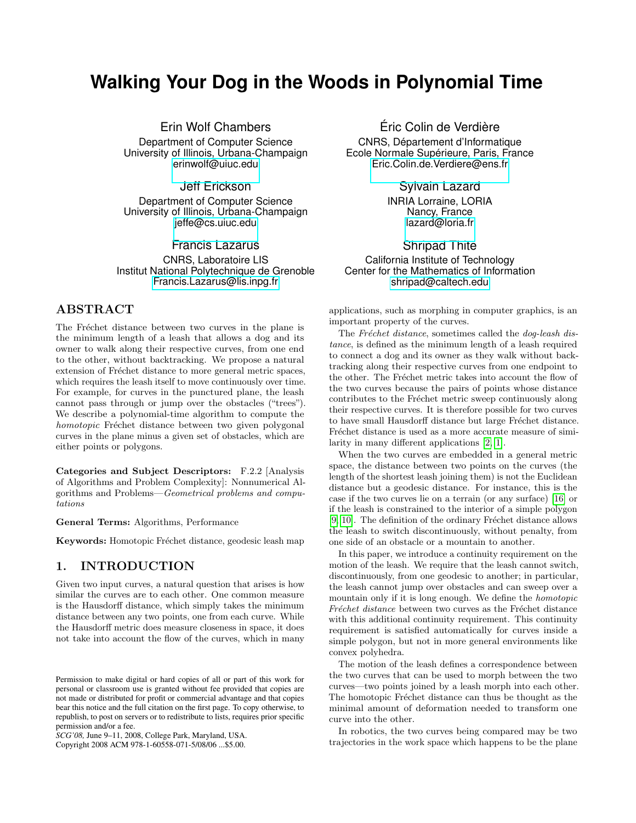# **Walking Your Dog in the Woods in Polynomial Time**

Erin Wolf Chambers Department of Computer Science University of Illinois, Urbana-Champaign <erinwolf@uiuc.edu>

#### Jeff Erickson

Department of Computer Science University of Illinois, Urbana-Champaign <jeffe@cs.uiuc.edu>

## Francis Lazarus CNRS, Laboratoire LIS Institut National Polytechnique de Grenoble <Francis.Lazarus@lis.inpg.fr>

# ABSTRACT

The Fréchet distance between two curves in the plane is the minimum length of a leash that allows a dog and its owner to walk along their respective curves, from one end to the other, without backtracking. We propose a natural extension of Fréchet distance to more general metric spaces, which requires the leash itself to move continuously over time. For example, for curves in the punctured plane, the leash cannot pass through or jump over the obstacles ("trees"). We describe a polynomial-time algorithm to compute the homotopic Fréchet distance between two given polygonal curves in the plane minus a given set of obstacles, which are either points or polygons.

Categories and Subject Descriptors: F.2.2 [Analysis of Algorithms and Problem Complexity]: Nonnumerical Algorithms and Problems—Geometrical problems and computations

General Terms: Algorithms, Performance

Keywords: Homotopic Fréchet distance, geodesic leash map

## 1. INTRODUCTION

Given two input curves, a natural question that arises is how similar the curves are to each other. One common measure is the Hausdorff distance, which simply takes the minimum distance between any two points, one from each curve. While the Hausdorff metric does measure closeness in space, it does not take into account the flow of the curves, which in many

Copyright 2008 ACM 978-1-60558-071-5/08/06 ...\$5.00.

Éric Colin de Verdière CNRS, Département d'Informatique Ecole Normale Supérieure, Paris, France <Eric.Colin.de.Verdiere@ens.fr>

> Sylvain Lazard INRIA Lorraine, LORIA Nancy, France <lazard@loria.fr>

# Shripad Thite

California Institute of Technology Center for the Mathematics of Information <shripad@caltech.edu>

applications, such as morphing in computer graphics, is an important property of the curves.

The Fréchet distance, sometimes called the dog-leash distance, is defined as the minimum length of a leash required to connect a dog and its owner as they walk without backtracking along their respective curves from one endpoint to the other. The Fréchet metric takes into account the flow of the two curves because the pairs of points whose distance contributes to the Fréchet metric sweep continuously along their respective curves. It is therefore possible for two curves to have small Hausdorff distance but large Fréchet distance. Fréchet distance is used as a more accurate measure of similarity in many different applications [\[2,](#page-8-0) [1\]](#page-8-1).

When the two curves are embedded in a general metric space, the distance between two points on the curves (the length of the shortest leash joining them) is not the Euclidean distance but a geodesic distance. For instance, this is the case if the two curves lie on a terrain (or any surface) [\[16\]](#page-8-2) or if the leash is constrained to the interior of a simple polygon  $[9, 10]$  $[9, 10]$ . The definition of the ordinary Fréchet distance allows the leash to switch discontinuously, without penalty, from one side of an obstacle or a mountain to another.

In this paper, we introduce a continuity requirement on the motion of the leash. We require that the leash cannot switch, discontinuously, from one geodesic to another; in particular, the leash cannot jump over obstacles and can sweep over a mountain only if it is long enough. We define the homotopic Fréchet distance between two curves as the Fréchet distance with this additional continuity requirement. This continuity requirement is satisfied automatically for curves inside a simple polygon, but not in more general environments like convex polyhedra.

The motion of the leash defines a correspondence between the two curves that can be used to morph between the two curves—two points joined by a leash morph into each other. The homotopic Fréchet distance can thus be thought as the minimal amount of deformation needed to transform one curve into the other.

In robotics, the two curves being compared may be two trajectories in the work space which happens to be the plane

Permission to make digital or hard copies of all or part of this work for personal or classroom use is granted without fee provided that copies are not made or distributed for profit or commercial advantage and that copies bear this notice and the full citation on the first page. To copy otherwise, to republish, to post on servers or to redistribute to lists, requires prior specific permission and/or a fee.

*SCG'08,* June 9–11, 2008, College Park, Maryland, USA.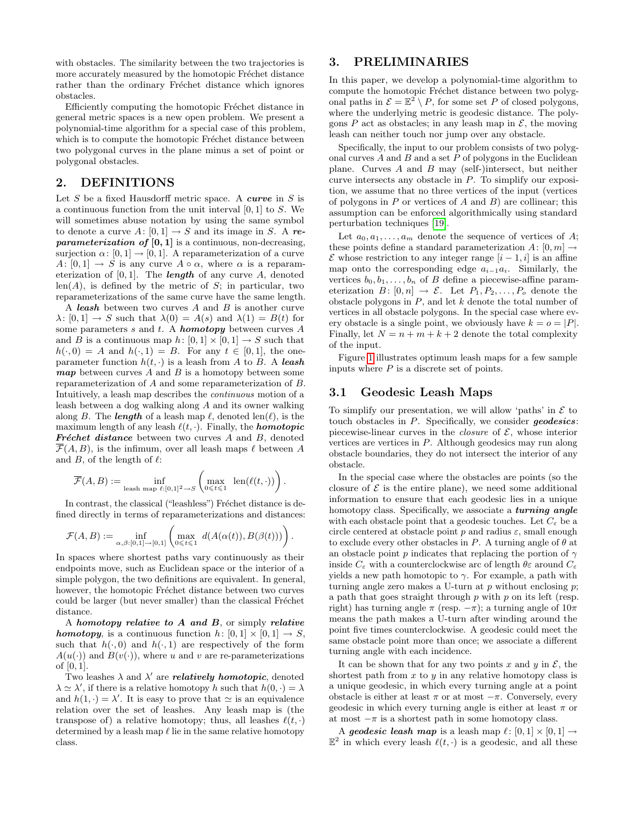with obstacles. The similarity between the two trajectories is more accurately measured by the homotopic Fréchet distance rather than the ordinary Fréchet distance which ignores obstacles.

Efficiently computing the homotopic Fréchet distance in general metric spaces is a new open problem. We present a polynomial-time algorithm for a special case of this problem, which is to compute the homotopic Fréchet distance between two polygonal curves in the plane minus a set of point or polygonal obstacles.

## 2. DEFINITIONS

Let  $S$  be a fixed Hausdorff metric space. A curve in  $S$  is a continuous function from the unit interval  $[0, 1]$  to S. We will sometimes abuse notation by using the same symbol to denote a curve  $A: [0,1] \to S$  and its image in S. A re*parameterization of*  $[0, 1]$  is a continuous, non-decreasing, surjection  $\alpha: [0, 1] \to [0, 1]$ . A reparameterization of a curve  $A: [0, 1] \rightarrow S$  is any curve  $A \circ \alpha$ , where  $\alpha$  is a reparameterization of  $[0, 1]$ . The **length** of any curve A, denoted  $len(A)$ , is defined by the metric of S; in particular, two reparameterizations of the same curve have the same length.

A leash between two curves  $A$  and  $B$  is another curve  $\lambda: [0,1] \to S$  such that  $\lambda(0) = A(s)$  and  $\lambda(1) = B(t)$  for some parameters s and t. A **homotopy** between curves  $A$ and B is a continuous map  $h: [0, 1] \times [0, 1] \rightarrow S$  such that  $h(\cdot, 0) = A$  and  $h(\cdot, 1) = B$ . For any  $t \in [0, 1]$ , the oneparameter function  $h(t, \cdot)$  is a leash from A to B. A leash  $map$  between curves  $A$  and  $B$  is a homotopy between some reparameterization of A and some reparameterization of B. Intuitively, a leash map describes the continuous motion of a leash between a dog walking along A and its owner walking along B. The **length** of a leash map  $\ell$ , denoted len $(\ell)$ , is the maximum length of any leash  $\ell(t, \cdot)$ . Finally, the *homotopic* **Fréchet distance** between two curves  $A$  and  $B$ , denoted  $\overline{\mathcal{F}}(A, B)$ , is the infimum, over all leash maps  $\ell$  between A and  $B$ , of the length of  $\ell$ :

$$
\overline{\mathcal{F}}(A,B) := \inf_{\substack{\text{least map } \ell : [0,1]^2 \to S}} \left( \max_{0 \leq t \leq 1} \text{ len}(\ell(t,\cdot)) \right).
$$

In contrast, the classical ("leashless") Fréchet distance is defined directly in terms of reparameterizations and distances:

$$
\mathcal{F}(A, B) := \inf_{\alpha, \beta: [0, 1] \to [0, 1]} \left( \max_{0 \leq t \leq 1} d(A(\alpha(t)), B(\beta(t))) \right)
$$

.

In spaces where shortest paths vary continuously as their endpoints move, such as Euclidean space or the interior of a simple polygon, the two definitions are equivalent. In general, however, the homotopic Fréchet distance between two curves could be larger (but never smaller) than the classical Fréchet distance.

A homotopy relative to  $A$  and  $B$ , or simply relative **homotopy**, is a continuous function  $h: [0, 1] \times [0, 1] \rightarrow S$ , such that  $h(\cdot, 0)$  and  $h(\cdot, 1)$  are respectively of the form  $A(u(\cdot))$  and  $B(v(\cdot))$ , where u and v are re-parameterizations of [0, 1].

Two leashes  $\lambda$  and  $\lambda'$  are **relatively homotopic**, denoted  $\lambda \simeq \lambda'$ , if there is a relative homotopy h such that  $h(0, \cdot) = \lambda$ and  $h(1, \cdot) = \lambda'$ . It is easy to prove that  $\simeq$  is an equivalence relation over the set of leashes. Any leash map is (the transpose of) a relative homotopy; thus, all leashes  $\ell(t, \cdot)$ determined by a leash map  $\ell$  lie in the same relative homotopy class.

## 3. PRELIMINARIES

In this paper, we develop a polynomial-time algorithm to compute the homotopic Fréchet distance between two polygonal paths in  $\mathcal{E} = \mathbb{E}^2 \setminus P$ , for some set P of closed polygons, where the underlying metric is geodesic distance. The polygons P act as obstacles; in any leash map in  $\mathcal{E}$ , the moving leash can neither touch nor jump over any obstacle.

Specifically, the input to our problem consists of two polygonal curves  $A$  and  $B$  and a set  $P$  of polygons in the Euclidean plane. Curves A and B may (self-)intersect, but neither curve intersects any obstacle in P. To simplify our exposition, we assume that no three vertices of the input (vertices of polygons in  $P$  or vertices of  $A$  and  $B$ ) are collinear; this assumption can be enforced algorithmically using standard perturbation techniques [\[19\]](#page-8-5).

Let  $a_0, a_1, \ldots, a_m$  denote the sequence of vertices of A; these points define a standard parameterization  $A: [0, m] \rightarrow$  $\mathcal E$  whose restriction to any integer range [i − 1, i] is an affine map onto the corresponding edge  $a_{i-1}a_i$ . Similarly, the vertices  $b_0, b_1, \ldots, b_n$  of B define a piecewise-affine parameterization  $B: [0, n] \rightarrow \mathcal{E}$ . Let  $P_1, P_2, \ldots, P_o$  denote the obstacle polygons in  $P$ , and let  $k$  denote the total number of vertices in all obstacle polygons. In the special case where every obstacle is a single point, we obviously have  $k = o = |P|$ . Finally, let  $N = n + m + k + 2$  denote the total complexity of the input.

Figure [1](#page-2-0) illustrates optimum leash maps for a few sample inputs where  $P$  is a discrete set of points.

#### 3.1 Geodesic Leash Maps

To simplify our presentation, we will allow 'paths' in  $\mathcal E$  to touch obstacles in  $P$ . Specifically, we consider geodesics: piecewise-linear curves in the *closure* of  $\mathcal{E}$ , whose interior vertices are vertices in P. Although geodesics may run along obstacle boundaries, they do not intersect the interior of any obstacle.

In the special case where the obstacles are points (so the closure of  $\mathcal E$  is the entire plane), we need some additional information to ensure that each geodesic lies in a unique homotopy class. Specifically, we associate a turning angle with each obstacle point that a geodesic touches. Let  $C_{\varepsilon}$  be a circle centered at obstacle point p and radius  $\varepsilon$ , small enough to exclude every other obstacles in P. A turning angle of  $\theta$  at an obstacle point p indicates that replacing the portion of  $\gamma$ inside  $C_{\varepsilon}$  with a counterclockwise arc of length  $\theta \varepsilon$  around  $C_{\varepsilon}$ yields a new path homotopic to  $\gamma$ . For example, a path with turning angle zero makes a U-turn at  $p$  without enclosing  $p$ ; a path that goes straight through  $p$  with  $p$  on its left (resp. right) has turning angle  $\pi$  (resp.  $-\pi$ ); a turning angle of  $10\pi$ means the path makes a U-turn after winding around the point five times counterclockwise. A geodesic could meet the same obstacle point more than once; we associate a different turning angle with each incidence.

It can be shown that for any two points x and y in  $\mathcal{E}$ , the shortest path from  $x$  to  $y$  in any relative homotopy class is a unique geodesic, in which every turning angle at a point obstacle is either at least  $\pi$  or at most  $-\pi$ . Conversely, every geodesic in which every turning angle is either at least  $\pi$  or at most  $-\pi$  is a shortest path in some homotopy class.

A geodesic leash map is a leash map  $\ell : [0, 1] \times [0, 1] \rightarrow$  $\mathbb{E}^2$  in which every leash  $\ell(t, \cdot)$  is a geodesic, and all these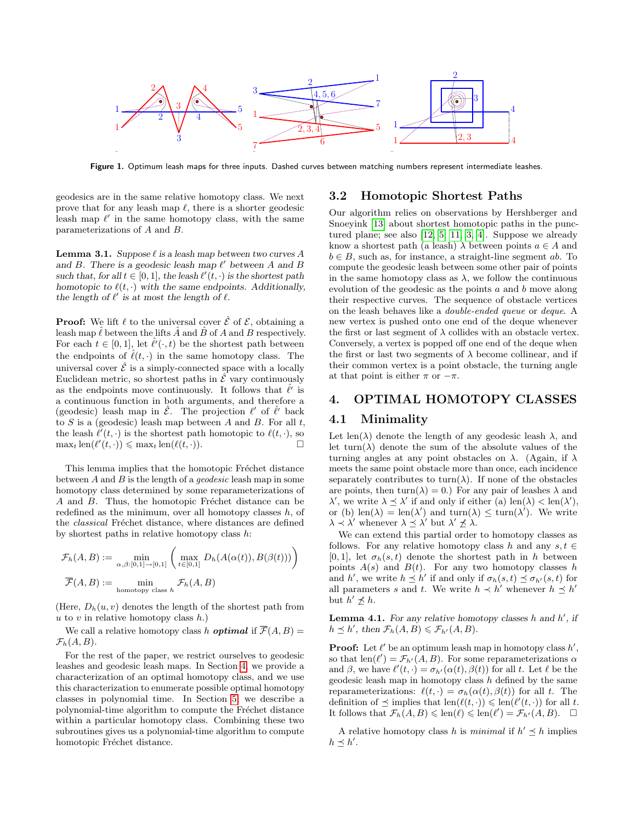

<span id="page-2-0"></span>Figure 1. Optimum leash maps for three inputs. Dashed curves between matching numbers represent intermediate leashes.

geodesics are in the same relative homotopy class. We next prove that for any leash map  $\ell$ , there is a shorter geodesic leash map  $\ell'$  in the same homotopy class, with the same parameterizations of A and B.

**Lemma 3.1.** Suppose  $\ell$  is a leash map between two curves A and  $B$ . There is a geodesic leash map  $\ell'$  between  $A$  and  $B$ such that, for all  $t \in [0,1]$ , the leash  $\ell'(\overline{t},\cdot)$  is the shortest path homotopic to  $\ell(t, \cdot)$  with the same endpoints. Additionally, the length of  $\ell'$  is at most the length of  $\ell$ .

**Proof:** We lift  $\ell$  to the universal cover  $\hat{\mathcal{E}}$  of  $\mathcal{E}$ , obtaining a leash map  $\hat{\ell}$  between the lifts  $\hat{A}$  and  $\hat{B}$  of A and B respectively. For each  $t \in [0,1]$ , let  $\ell^i(\cdot,t)$  be the shortest path between the endpoints of  $\ell(t, \cdot)$  in the same homotopy class. The universal cover  $\hat{\mathcal{E}}$  is a simply-connected space with a locally Euclidean metric, so shortest paths in  $\hat{\mathcal{E}}$  vary continuously as the endpoints move continuously. It follows that  $\hat{\ell}'$  is a continuous function in both arguments, and therefore a (geodesic) leash map in  $\hat{\mathcal{E}}$ . The projection  $\ell'$  of  $\hat{\ell}'$  back to  $S$  is a (geodesic) leash map between  $A$  and  $B$ . For all  $t$ , the leash  $\ell'(t, \cdot)$  is the shortest path homotopic to  $\ell(t, \cdot)$ , so  $\max_t \text{len}(\ell'(t, \cdot)) \leq \max_t \text{len}(\ell(t, \cdot)).$ 

This lemma implies that the homotopic Fréchet distance between  $A$  and  $B$  is the length of a *geodesic* leash map in some homotopy class determined by some reparameterizations of A and  $B$ . Thus, the homotopic Fréchet distance can be redefined as the minimum, over all homotopy classes  $h$ , of the *classical* Fréchet distance, where distances are defined by shortest paths in relative homotopy class h:

$$
\mathcal{F}_h(A, B) := \min_{\alpha, \beta: [0, 1] \to [0, 1]} \left( \max_{t \in [0, 1]} D_h(A(\alpha(t)), B(\beta(t))) \right)
$$

$$
\overline{\mathcal{F}}(A, B) := \min_{\text{homotopy class } h} \mathcal{F}_h(A, B)
$$

(Here,  $D_h(u, v)$  denotes the length of the shortest path from u to v in relative homotopy class  $h$ .)

We call a relative homotopy class h *optimal* if  $\overline{\mathcal{F}}(A, B) =$  $\mathcal{F}_h(A, B)$ .

For the rest of the paper, we restrict ourselves to geodesic leashes and geodesic leash maps. In Section [4,](#page-2-1) we provide a characterization of an optimal homotopy class, and we use this characterization to enumerate possible optimal homotopy classes in polynomial time. In Section [5,](#page-5-0) we describe a polynomial-time algorithm to compute the Fréchet distance within a particular homotopy class. Combining these two subroutines gives us a polynomial-time algorithm to compute homotopic Fréchet distance.

#### 3.2 Homotopic Shortest Paths

Our algorithm relies on observations by Hershberger and Snoeyink [\[13\]](#page-8-6) about shortest homotopic paths in the punctured plane; see also [\[12,](#page-8-7) [5,](#page-8-8) [11,](#page-8-9) [3,](#page-8-10) [4\]](#page-8-11). Suppose we already know a shortest path (a leash)  $\lambda$  between points  $a \in A$  and  $b \in B$ , such as, for instance, a straight-line segment ab. To compute the geodesic leash between some other pair of points in the same homotopy class as  $\lambda$ , we follow the continuous evolution of the geodesic as the points  $a$  and  $b$  move along their respective curves. The sequence of obstacle vertices on the leash behaves like a double-ended queue or deque. A new vertex is pushed onto one end of the deque whenever the first or last segment of  $\lambda$  collides with an obstacle vertex. Conversely, a vertex is popped off one end of the deque when the first or last two segments of  $\lambda$  become collinear, and if their common vertex is a point obstacle, the turning angle at that point is either  $\pi$  or  $-\pi$ .

## <span id="page-2-1"></span>4. OPTIMAL HOMOTOPY CLASSES

#### 4.1 Minimality

Let len( $\lambda$ ) denote the length of any geodesic leash  $\lambda$ , and let turn( $\lambda$ ) denote the sum of the absolute values of the turning angles at any point obstacles on  $\lambda$ . (Again, if  $\lambda$ meets the same point obstacle more than once, each incidence separately contributes to turn( $\lambda$ ). If none of the obstacles are points, then  $turn(\lambda) = 0$ .) For any pair of leashes  $\lambda$  and  $\lambda'$ , we write  $\lambda \leq \lambda'$  if and only if either (a) len( $\lambda$ ) < len( $\lambda'$ ), or (b)  $len(\lambda) = len(\lambda')$  and  $turn(\lambda) \leq turn(\lambda')$ . We write  $\lambda \prec \lambda'$  whenever  $\lambda \preceq \lambda'$  but  $\lambda' \npreceq \lambda$ .

We can extend this partial order to homotopy classes as follows. For any relative homotopy class h and any  $s, t \in$ [0, 1], let  $\sigma_h(s,t)$  denote the shortest path in h between points  $A(s)$  and  $B(t)$ . For any two homotopy classes h and h', we write  $h \leq h'$  if and only if  $\sigma_h(s, t) \leq \sigma_{h'}(s, t)$  for all parameters s and t. We write  $h \prec h'$  whenever  $h \preceq h'$ but  $h' \nleq h$ .

**Lemma 4.1.** For any relative homotopy classes  $h$  and  $h'$ , if  $h \preceq h'$ , then  $\mathcal{F}_h(A, B) \leq \mathcal{F}_{h'}(A, B)$ .

**Proof:** Let  $\ell'$  be an optimum leash map in homotopy class  $h'$ , so that  $len(\ell') = \mathcal{F}_{h'}(A, B)$ . For some reparameterizations  $\alpha$ and  $\beta$ , we have  $\ell'(t, \cdot) = \sigma_{h'}(\alpha(t), \beta(t))$  for all t. Let  $\ell$  be the geodesic leash map in homotopy class  $h$  defined by the same reparameterizations:  $\ell(t, \cdot) = \sigma_h(\alpha(t), \beta(t))$  for all t. The definition of  $\preceq$  implies that  $\text{len}(\ell(t, \cdot)) \leq \text{len}(\ell'(t, \cdot))$  for all t. It follows that  $\mathcal{F}_h(A, B) \leqslant \text{len}(\ell) \leqslant \text{len}(\ell') = \mathcal{F}_{h'}(A, B).$ 

A relative homotopy class h is minimal if  $h' \leq h$  implies  $h \preceq h'.$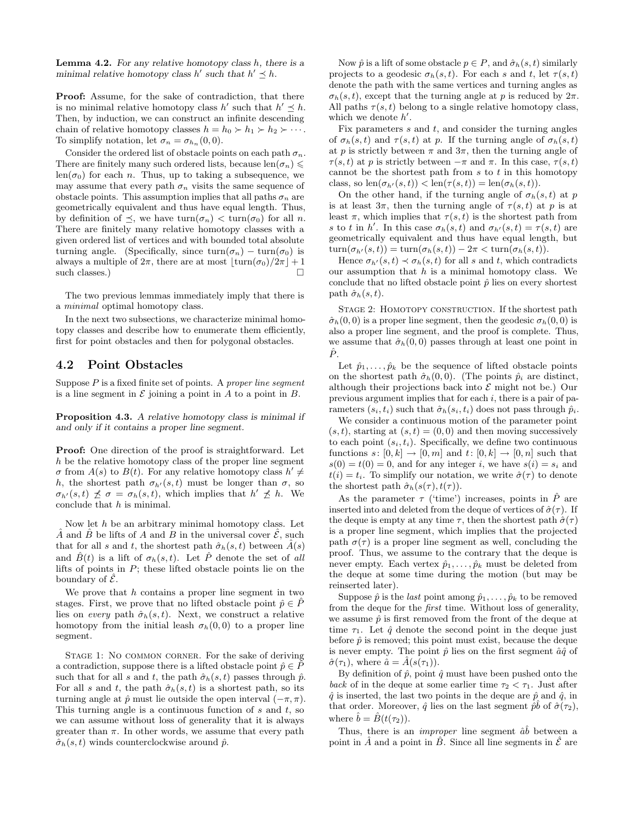**Lemma 4.2.** For any relative homotopy class  $h$ , there is a minimal relative homotopy class h' such that  $h' \preceq h$ .

Proof: Assume, for the sake of contradiction, that there is no minimal relative homotopy class  $h'$  such that  $h' \leq h$ . Then, by induction, we can construct an infinite descending chain of relative homotopy classes  $h = h_0 \succ h_1 \succ h_2 \succ \cdots$ . To simplify notation, let  $\sigma_n = \sigma_{h_n}(0,0)$ .

Consider the ordered list of obstacle points on each path  $\sigma_n$ . There are finitely many such ordered lists, because  $len(\sigma_n)$  $\text{len}(\sigma_0)$  for each *n*. Thus, up to taking a subsequence, we may assume that every path  $\sigma_n$  visits the same sequence of obstacle points. This assumption implies that all paths  $\sigma_n$  are geometrically equivalent and thus have equal length. Thus, by definition of  $\preceq$ , we have  $\textrm{turn}(\sigma_n) < \textrm{turn}(\sigma_0)$  for all n. There are finitely many relative homotopy classes with a given ordered list of vertices and with bounded total absolute turning angle. (Specifically, since  $\text{turn}(\sigma_n) - \text{turn}(\sigma_0)$  is always a multiple of  $2\pi$ , there are at most  $\lfloor \text{turn}(\sigma_0)/2\pi \rfloor + 1$ <br>such classes) such classes.)

The two previous lemmas immediately imply that there is a minimal optimal homotopy class.

In the next two subsections, we characterize minimal homotopy classes and describe how to enumerate them efficiently, first for point obstacles and then for polygonal obstacles.

## 4.2 Point Obstacles

Suppose  $P$  is a fixed finite set of points. A *proper line segment* is a line segment in  $\mathcal E$  joining a point in  $A$  to a point in  $B$ .

<span id="page-3-0"></span>Proposition 4.3. A relative homotopy class is minimal if and only if it contains a proper line segment.

Proof: One direction of the proof is straightforward. Let  $h$  be the relative homotopy class of the proper line segment σ from  $A(s)$  to  $B(t)$ . For any relative homotopy class  $h' \neq$ h, the shortest path  $\sigma_{h'}(s, t)$  must be longer than  $\sigma$ , so  $\sigma_{h'}(s,t) \not\preceq \sigma = \sigma_h(s,t)$ , which implies that  $h' \not\preceq h$ . We conclude that h is minimal.

Now let  $h$  be an arbitrary minimal homotopy class. Let  $\hat{A}$  and  $\hat{B}$  be lifts of A and B in the universal cover  $\hat{\mathcal{E}}$ , such that for all s and t, the shortest path  $\hat{\sigma}_h(s,t)$  between  $\hat{A}(s)$ and  $\hat{B}(t)$  is a lift of  $\sigma_h(s,t)$ . Let  $\hat{P}$  denote the set of all lifts of points in  $P$ ; these lifted obstacle points lie on the boundary of  $\mathcal{E}$ .

We prove that  $h$  contains a proper line segment in two stages. First, we prove that no lifted obstacle point  $\hat{p} \in P$ lies on every path  $\hat{\sigma}_h(s,t)$ . Next, we construct a relative homotopy from the initial leash  $\sigma_h(0,0)$  to a proper line segment.

STAGE 1: NO COMMON CORNER. For the sake of deriving a contradiction, suppose there is a lifted obstacle point  $\hat{p} \in \hat{P}$ such that for all s and t, the path  $\hat{\sigma}_h(s,t)$  passes through  $\hat{p}$ . For all s and t, the path  $\hat{\sigma}_h(s,t)$  is a shortest path, so its turning angle at  $\hat{p}$  must lie outside the open interval  $(-\pi, \pi)$ . This turning angle is a continuous function of  $s$  and  $t$ , so we can assume without loss of generality that it is always greater than  $\pi$ . In other words, we assume that every path  $\hat{\sigma}_h(s,t)$  winds counterclockwise around  $\hat{p}$ .

Now  $\hat{p}$  is a lift of some obstacle  $p \in P$ , and  $\hat{\sigma}_h(s, t)$  similarly projects to a geodesic  $\sigma_h(s,t)$ . For each s and t, let  $\tau(s,t)$ denote the path with the same vertices and turning angles as  $\sigma_h(s, t)$ , except that the turning angle at p is reduced by  $2\pi$ . All paths  $\tau(s, t)$  belong to a single relative homotopy class, which we denote  $h'$ .

Fix parameters  $s$  and  $t$ , and consider the turning angles of  $\sigma_h(s,t)$  and  $\tau(s,t)$  at p. If the turning angle of  $\sigma_h(s,t)$ at p is strictly between  $\pi$  and  $3\pi$ , then the turning angle of  $\tau(s,t)$  at p is strictly between  $-\pi$  and  $\pi$ . In this case,  $\tau(s,t)$ cannot be the shortest path from  $s$  to  $t$  in this homotopy class, so  $\text{len}(\sigma_{h'}(s, t)) < \text{len}(\tau(s, t)) = \text{len}(\sigma_h(s, t)).$ 

On the other hand, if the turning angle of  $\sigma_h(s,t)$  at p is at least  $3\pi$ , then the turning angle of  $\tau(s,t)$  at p is at least  $\pi$ , which implies that  $\tau(s,t)$  is the shortest path from s to t in h'. In this case  $\sigma_h(s,t)$  and  $\sigma_{h'}(s,t) = \tau(s,t)$  are geometrically equivalent and thus have equal length, but  $\text{turn}(\sigma_{h'}(s,t)) = \text{turn}(\sigma_h(s,t)) - 2\pi < \text{turn}(\sigma_h(s,t)).$ 

Hence  $\sigma_{h'}(s, t) \prec \sigma_h(s, t)$  for all s and t, which contradicts our assumption that  $h$  is a minimal homotopy class. We conclude that no lifted obstacle point  $\hat{p}$  lies on every shortest path  $\hat{\sigma}_h(s,t)$ .

STAGE 2: HOMOTOPY CONSTRUCTION. If the shortest path  $\hat{\sigma}_h(0,0)$  is a proper line segment, then the geodesic  $\sigma_h(0,0)$  is also a proper line segment, and the proof is complete. Thus, we assume that  $\hat{\sigma}_h(0, 0)$  passes through at least one point in  $\hat{P}$ .

Let  $\hat{p}_1, \ldots, \hat{p}_k$  be the sequence of lifted obstacle points on the shortest path  $\hat{\sigma}_h(0, 0)$ . (The points  $\hat{p}_i$  are distinct, although their projections back into  $\mathcal E$  might not be.) Our previous argument implies that for each  $i$ , there is a pair of parameters  $(s_i, t_i)$  such that  $\hat{\sigma}_h(s_i, t_i)$  does not pass through  $\hat{p}_i$ .

We consider a continuous motion of the parameter point  $(s, t)$ , starting at  $(s, t) = (0, 0)$  and then moving successively to each point  $(s_i, t_i)$ . Specifically, we define two continuous functions  $s: [0, k] \rightarrow [0, m]$  and  $t: [0, k] \rightarrow [0, n]$  such that  $s(0) = t(0) = 0$ , and for any integer i, we have  $s(i) = s_i$  and  $t(i) = t_i$ . To simplify our notation, we write  $\hat{\sigma}(\tau)$  to denote the shortest path  $\hat{\sigma}_h(s(\tau), t(\tau))$ .

As the parameter  $\tau$  ('time') increases, points in  $\hat{P}$  are inserted into and deleted from the deque of vertices of  $\hat{\sigma}(\tau)$ . If the deque is empty at any time  $\tau$ , then the shortest path  $\hat{\sigma}(\tau)$ is a proper line segment, which implies that the projected path  $\sigma(\tau)$  is a proper line segment as well, concluding the proof. Thus, we assume to the contrary that the deque is never empty. Each vertex  $\hat{p}_1, \ldots, \hat{p}_k$  must be deleted from the deque at some time during the motion (but may be reinserted later).

Suppose  $\hat{p}$  is the *last* point among  $\hat{p}_1, \ldots, \hat{p}_k$  to be removed from the deque for the first time. Without loss of generality, we assume  $\hat{p}$  is first removed from the front of the deque at time  $\tau_1$ . Let  $\hat{q}$  denote the second point in the deque just before  $\hat{p}$  is removed; this point must exist, because the deque is never empty. The point  $\hat{p}$  lies on the first segment  $\hat{a}\hat{q}$  of  $\hat{\sigma}(\tau_1)$ , where  $\hat{a} = \hat{A}(s(\tau_1)).$ 

By definition of  $\hat{p}$ , point  $\hat{q}$  must have been pushed onto the back of in the deque at some earlier time  $\tau_2 < \tau_1$ . Just after  $\hat{q}$  is inserted, the last two points in the deque are  $\hat{p}$  and  $\hat{q}$ , in that order. Moreover,  $\hat{q}$  lies on the last segment  $\hat{p}\hat{b}$  of  $\hat{\sigma}(\tau_2)$ , where  $\hat{b} = \hat{B}(t(\tau_2)).$ 

Thus, there is an *improper* line segment  $\hat{a}\hat{b}$  between a point in  $\hat{A}$  and a point in  $\hat{B}$ . Since all line segments in  $\hat{\mathcal{E}}$  are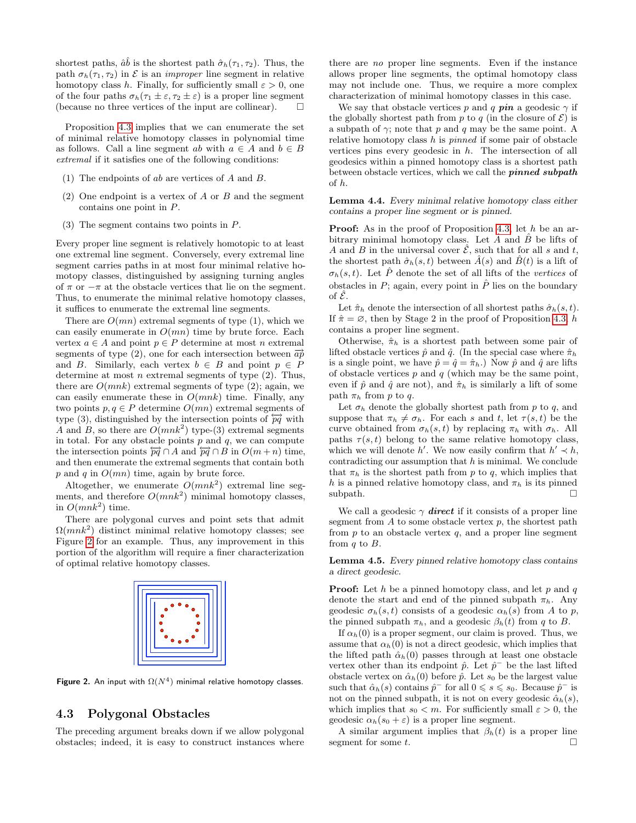shortest paths,  $\hat{a}\hat{b}$  is the shortest path  $\hat{\sigma}_h(\tau_1, \tau_2)$ . Thus, the path  $\sigma_h(\tau_1, \tau_2)$  in  $\mathcal E$  is an *improper* line segment in relative homotopy class h. Finally, for sufficiently small  $\varepsilon > 0$ , one of the four paths  $\sigma_h(\tau_1 \pm \varepsilon, \tau_2 \pm \varepsilon)$  is a proper line segment (because no three vertices of the input are collinear).  $\Box$ 

Proposition [4.3](#page-3-0) implies that we can enumerate the set of minimal relative homotopy classes in polynomial time as follows. Call a line segment ab with  $a \in A$  and  $b \in B$ extremal if it satisfies one of the following conditions:

- (1) The endpoints of ab are vertices of A and B.
- (2) One endpoint is a vertex of  $A$  or  $B$  and the segment contains one point in P.
- (3) The segment contains two points in P.

Every proper line segment is relatively homotopic to at least one extremal line segment. Conversely, every extremal line segment carries paths in at most four minimal relative homotopy classes, distinguished by assigning turning angles of  $\pi$  or  $-\pi$  at the obstacle vertices that lie on the segment. Thus, to enumerate the minimal relative homotopy classes, it suffices to enumerate the extremal line segments.

There are  $O(mn)$  extremal segments of type (1), which we can easily enumerate in  $O(mn)$  time by brute force. Each vertex  $a \in A$  and point  $p \in P$  determine at most n extremal segments of type (2), one for each intersection between  $\overrightarrow{ap}$ and B. Similarly, each vertex  $b \in B$  and point  $p \in P$ determine at most  $n$  extremal segments of type  $(2)$ . Thus, there are  $O(mnk)$  extremal segments of type (2); again, we can easily enumerate these in  $O(mnk)$  time. Finally, any two points  $p, q \in P$  determine  $O(mn)$  extremal segments of type (3), distinguished by the intersection points of  $\overrightarrow{pq}$  with A and B, so there are  $O(mnk^2)$  type-(3) extremal segments in total. For any obstacle points  $p$  and  $q$ , we can compute the intersection points  $\overrightarrow{pq} \cap A$  and  $\overrightarrow{pq} \cap B$  in  $O(m+n)$  time, and then enumerate the extremal segments that contain both  $p$  and  $q$  in  $O(mn)$  time, again by brute force.

Altogether, we enumerate  $O(mnk^2)$  extremal line segments, and therefore  $O(mnk^2)$  minimal homotopy classes, in  $O(mnk^2)$  time.

There are polygonal curves and point sets that admit  $\Omega(mnk^2)$  distinct minimal relative homotopy classes; see Figure [2](#page-4-0) for an example. Thus, any improvement in this portion of the algorithm will require a finer characterization of optimal relative homotopy classes.



<span id="page-4-0"></span>Figure 2. An input with  $\Omega(N^4)$  minimal relative homotopy classes.

## 4.3 Polygonal Obstacles

The preceding argument breaks down if we allow polygonal obstacles; indeed, it is easy to construct instances where there are no proper line segments. Even if the instance allows proper line segments, the optimal homotopy class may not include one. Thus, we require a more complex characterization of minimal homotopy classes in this case.

We say that obstacle vertices p and q pin a geodesic  $\gamma$  if the globally shortest path from p to q (in the closure of  $\mathcal{E}$ ) is a subpath of  $\gamma$ ; note that p and q may be the same point. A relative homotopy class  $h$  is *pinned* if some pair of obstacle vertices pins every geodesic in h. The intersection of all geodesics within a pinned homotopy class is a shortest path between obstacle vertices, which we call the **pinned subpath** of h.

<span id="page-4-2"></span>Lemma 4.4. Every minimal relative homotopy class either contains a proper line segment or is pinned.

Proof: As in the proof of Proposition [4.3,](#page-3-0) let h be an arbitrary minimal homotopy class. Let  $\hat{A}$  and  $\hat{B}$  be lifts of A and B in the universal cover  $\hat{\mathcal{E}}$ , such that for all s and t, the shortest path  $\hat{\sigma}_h(s,t)$  between  $\hat{A}(s)$  and  $\hat{B}(t)$  is a lift of  $\sigma_h(s,t)$ . Let  $\hat{P}$  denote the set of all lifts of the vertices of obstacles in P; again, every point in  $\hat{P}$  lies on the boundary of  $\hat{\mathcal{E}}$ .

Let  $\hat{\pi}_h$  denote the intersection of all shortest paths  $\hat{\sigma}_h(s, t)$ . If  $\hat{\pi} = \emptyset$ , then by Stage 2 in the proof of Proposition [4.3,](#page-3-0) h contains a proper line segment.

Otherwise,  $\hat{\pi}_h$  is a shortest path between some pair of lifted obstacle vertices  $\hat{p}$  and  $\hat{q}$ . (In the special case where  $\hat{\pi}_h$ is a single point, we have  $\hat{p} = \hat{q} = \hat{\pi}_h$ .) Now  $\hat{p}$  and  $\hat{q}$  are lifts of obstacle vertices  $p$  and  $q$  (which may be the same point, even if  $\hat{p}$  and  $\hat{q}$  are not), and  $\hat{\pi}_h$  is similarly a lift of some path  $\pi_h$  from p to q.

Let  $\sigma_h$  denote the globally shortest path from p to q, and suppose that  $\pi_h \neq \sigma_h$ . For each s and t, let  $\tau(s, t)$  be the curve obtained from  $\sigma_h(s,t)$  by replacing  $\pi_h$  with  $\sigma_h$ . All paths  $\tau(s, t)$  belong to the same relative homotopy class, which we will denote h'. We now easily confirm that  $h' \prec h$ , contradicting our assumption that  $h$  is minimal. We conclude that  $\pi_h$  is the shortest path from p to q, which implies that h is a pinned relative homotopy class, and  $\pi_h$  is its pinned subpath.

We call a geodesic  $\gamma$  direct if it consists of a proper line segment from  $A$  to some obstacle vertex  $p$ , the shortest path from  $p$  to an obstacle vertex  $q$ , and a proper line segment from  $q$  to  $B$ .

<span id="page-4-1"></span>Lemma 4.5. Every pinned relative homotopy class contains a direct geodesic.

**Proof:** Let  $h$  be a pinned homotopy class, and let  $p$  and  $q$ denote the start and end of the pinned subpath  $\pi_h$ . Any geodesic  $\sigma_h(s,t)$  consists of a geodesic  $\alpha_h(s)$  from A to p, the pinned subpath  $\pi_h$ , and a geodesic  $\beta_h(t)$  from q to B.

If  $\alpha_h(0)$  is a proper segment, our claim is proved. Thus, we assume that  $\alpha_h(0)$  is not a direct geodesic, which implies that the lifted path  $\hat{\alpha}_h(0)$  passes through at least one obstacle vertex other than its endpoint  $\hat{p}$ . Let  $\hat{p}^-$  be the last lifted obstacle vertex on  $\hat{\alpha}_h(0)$  before  $\hat{p}$ . Let  $s_0$  be the largest value such that  $\hat{\alpha}_h(s)$  contains  $\hat{p}^-$  for all  $0 \leqslant s \leqslant s_0$ . Because  $\hat{p}^-$  is not on the pinned subpath, it is not on every geodesic  $\hat{\alpha}_h(s)$ , which implies that  $s_0 < m$ . For sufficiently small  $\varepsilon > 0$ , the geodesic  $\alpha_h(s_0 + \varepsilon)$  is a proper line segment.

A similar argument implies that  $\beta_h(t)$  is a proper line segment for some  $t$ .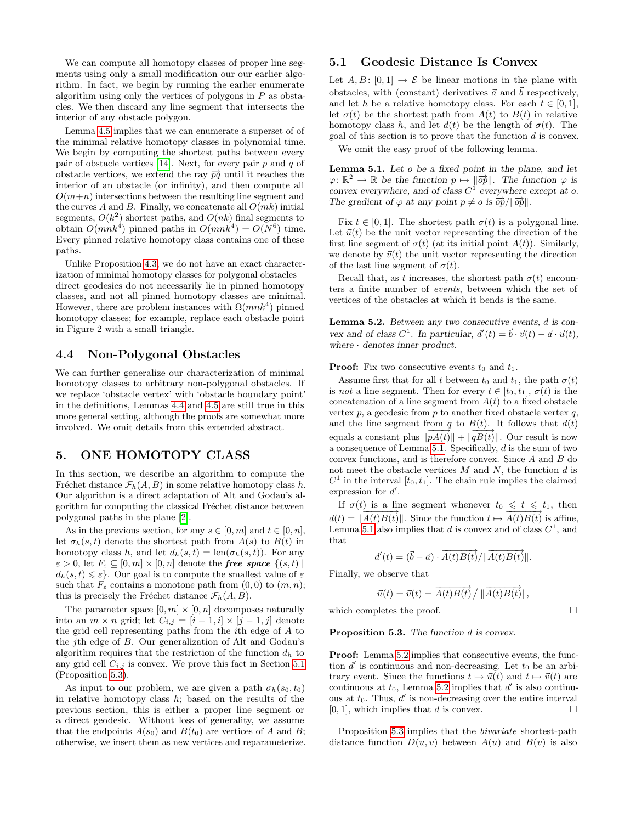We can compute all homotopy classes of proper line segments using only a small modification our our earlier algorithm. In fact, we begin by running the earlier enumerate algorithm using only the vertices of polygons in  $P$  as obstacles. We then discard any line segment that intersects the interior of any obstacle polygon.

Lemma [4.5](#page-4-1) implies that we can enumerate a superset of of the minimal relative homotopy classes in polynomial time. We begin by computing the shortest paths between every pair of obstacle vertices [\[14\]](#page-8-12). Next, for every pair  $p$  and  $q$  of obstacle vertices, we extend the ray  $\overrightarrow{pq}$  until it reaches the interior of an obstacle (or infinity), and then compute all  $O(m+n)$  intersections between the resulting line segment and the curves A and B. Finally, we concatenate all  $O(mk)$  initial segments,  $O(k^2)$  shortest paths, and  $O(nk)$  final segments to obtain  $O(mnk^4)$  pinned paths in  $O(mnk^4) = O(N^6)$  time. Every pinned relative homotopy class contains one of these paths.

Unlike Proposition [4.3,](#page-3-0) we do not have an exact characterization of minimal homotopy classes for polygonal obstacles direct geodesics do not necessarily lie in pinned homotopy classes, and not all pinned homotopy classes are minimal. However, there are problem instances with  $\Omega(mnk^4)$  pinned homotopy classes; for example, replace each obstacle point in Figure 2 with a small triangle.

#### 4.4 Non-Polygonal Obstacles

We can further generalize our characterization of minimal homotopy classes to arbitrary non-polygonal obstacles. If we replace 'obstacle vertex' with 'obstacle boundary point' in the definitions, Lemmas [4.4](#page-4-2) and [4.5](#page-4-1) are still true in this more general setting, although the proofs are somewhat more involved. We omit details from this extended abstract.

#### <span id="page-5-0"></span>5. ONE HOMOTOPY CLASS

In this section, we describe an algorithm to compute the Fréchet distance  $\mathcal{F}_h(A, B)$  in some relative homotopy class h. Our algorithm is a direct adaptation of Alt and Godau's algorithm for computing the classical Fréchet distance between polygonal paths in the plane [\[2\]](#page-8-0).

As in the previous section, for any  $s \in [0, m]$  and  $t \in [0, n]$ , let  $\sigma_h(s, t)$  denote the shortest path from  $A(s)$  to  $B(t)$  in homotopy class h, and let  $d_h(s,t) = \text{len}(\sigma_h(s,t))$ . For any  $\varepsilon > 0$ , let  $F_{\varepsilon} \subseteq [0, m] \times [0, n]$  denote the free space  $\{(s, t) \mid$  $d_h(s,t) \leq \varepsilon$ . Our goal is to compute the smallest value of  $\varepsilon$ such that  $F_{\varepsilon}$  contains a monotone path from  $(0,0)$  to  $(m, n);$ this is precisely the Fréchet distance  $\mathcal{F}_h(A, B)$ .

The parameter space  $[0, m] \times [0, n]$  decomposes naturally into an  $m \times n$  grid; let  $C_{i,j} = [i-1, i] \times [j-1, j]$  denote the grid cell representing paths from the ith edge of A to the jth edge of B. Our generalization of Alt and Godau's algorithm requires that the restriction of the function  $d_h$  to any grid cell  $C_{i,j}$  is convex. We prove this fact in Section [5.1](#page-5-1) (Proposition [5.3\)](#page-5-2).

As input to our problem, we are given a path  $\sigma_h(s_0, t_0)$ in relative homotopy class  $h$ ; based on the results of the previous section, this is either a proper line segment or a direct geodesic. Without loss of generality, we assume that the endpoints  $A(s_0)$  and  $B(t_0)$  are vertices of A and B; otherwise, we insert them as new vertices and reparameterize.

## <span id="page-5-1"></span>5.1 Geodesic Distance Is Convex

Let  $A, B: [0, 1] \rightarrow \mathcal{E}$  be linear motions in the plane with obstacles, with (constant) derivatives  $\vec{a}$  and  $\vec{b}$  respectively, and let h be a relative homotopy class. For each  $t \in [0, 1]$ , let  $\sigma(t)$  be the shortest path from  $A(t)$  to  $B(t)$  in relative homotopy class h, and let  $d(t)$  be the length of  $\sigma(t)$ . The goal of this section is to prove that the function  $d$  is convex.

<span id="page-5-3"></span>We omit the easy proof of the following lemma.

Lemma 5.1. Let o be a fixed point in the plane, and let  $\varphi: \mathbb{R}^2 \to \mathbb{R}$  be the function  $p \mapsto ||\overrightarrow{\rho p}||$ . The function  $\varphi$  is convex everywhere, and of class  $C^1$  everywhere except at o. The gradient of  $\varphi$  at any point  $p \neq o$  is  $\frac{\partial \varphi}{\partial p' ||\partial p'||}$ .

Fix  $t \in [0, 1]$ . The shortest path  $\sigma(t)$  is a polygonal line. Let  $\vec{u}(t)$  be the unit vector representing the direction of the first line segment of  $\sigma(t)$  (at its initial point  $A(t)$ ). Similarly, we denote by  $\vec{v}(t)$  the unit vector representing the direction of the last line segment of  $\sigma(t)$ .

Recall that, as t increases, the shortest path  $\sigma(t)$  encounters a finite number of events, between which the set of vertices of the obstacles at which it bends is the same.

<span id="page-5-4"></span>Lemma 5.2. Between any two consecutive events, d is convex and of class  $C^1$ . In particular,  $d'(t) = \vec{b} \cdot \vec{v}(t) - \vec{a} \cdot \vec{u}(t)$ , where · denotes inner product.

**Proof:** Fix two consecutive events  $t_0$  and  $t_1$ .

Assume first that for all t between  $t_0$  and  $t_1$ , the path  $\sigma(t)$ is not a line segment. Then for every  $t \in [t_0, t_1], \sigma(t)$  is the concatenation of a line segment from  $A(t)$  to a fixed obstacle vertex  $p$ , a geodesic from  $p$  to another fixed obstacle vertex  $q$ , and the line segment from  $q$  to  $B(t)$ . It follows that  $d(t)$ equals a constant plus  $\|\overrightarrow{pA(t)}\| + \|\overrightarrow{qB(t)}\|$ . Our result is now a consequence of Lemma [5.1.](#page-5-3) Specifically,  $d$  is the sum of two convex functions, and is therefore convex. Since A and B do not meet the obstacle vertices  $M$  and  $N$ , the function  $d$  is  $C<sup>1</sup>$  in the interval  $[t_0, t_1]$ . The chain rule implies the claimed expression for  $d'$ .

If  $\sigma(t)$  is a line segment whenever  $t_0 \leq t \leq t_1$ , then  $d(t) = ||\overrightarrow{A(t)B(t)}||$ . Since the function  $t \mapsto \overrightarrow{A(t)B(t)}$  is affine, Lemma [5.1](#page-5-3) also implies that d is convex and of class  $C^1$ , and that

$$
d'(t) = (\vec{b} - \vec{a}) \cdot \overrightarrow{A(t)B(t)} / ||\overrightarrow{A(t)B(t)}||.
$$

Finally, we observe that

$$
\vec{u}(t) = \vec{v}(t) = \overrightarrow{A(t)B(t)} / \|\overrightarrow{A(t)B(t)}\|,
$$

which completes the proof.  $\Box$ 

<span id="page-5-2"></span>Proposition 5.3. The function d is convex.

Proof: Lemma [5.2](#page-5-4) implies that consecutive events, the function  $d'$  is continuous and non-decreasing. Let  $t_0$  be an arbitrary event. Since the functions  $t \mapsto \vec{u}(t)$  and  $t \mapsto \vec{v}(t)$  are continuous at  $t_0$ , Lemma [5.2](#page-5-4) implies that  $d'$  is also continuous at  $t_0$ . Thus,  $d'$  is non-decreasing over the entire interval  $[0, 1]$ , which implies that d is convex.

Proposition [5.3](#page-5-2) implies that the bivariate shortest-path distance function  $D(u, v)$  between  $A(u)$  and  $B(v)$  is also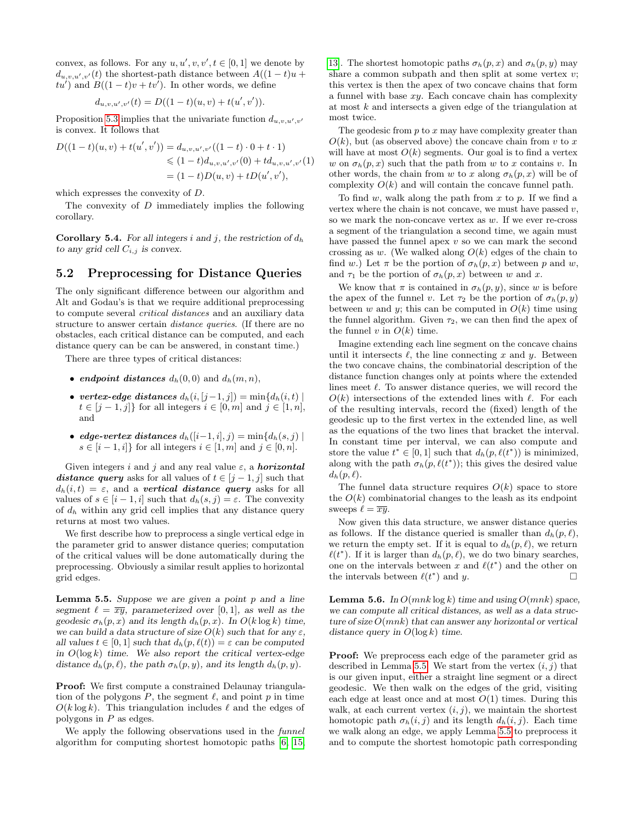convex, as follows. For any  $u, u', v, v', t \in [0, 1]$  we denote by  $d_{u,v,u',v'}(t)$  the shortest-path distance between  $A((1-t)u +$  $tu'$ ) and  $B((1-t)v + tv')$ . In other words, we define

$$
d_{u,v,u',v'}(t) = D((1-t)(u,v) + t(u',v')).
$$

Proposition [5.3](#page-5-2) implies that the univariate function  $d_{u,v,u',v'}$ is convex. It follows that

$$
D((1-t)(u, v) + t(u', v')) = d_{u, v, u', v'}((1-t) \cdot 0 + t \cdot 1)
$$
  
\n
$$
\leq (1-t)d_{u, v, u', v'}(0) + td_{u, v, u', v'}(1)
$$
  
\n
$$
= (1-t)D(u, v) + tD(u', v'),
$$

which expresses the convexity of D.

The convexity of  $D$  immediately implies the following corollary.

**Corollary 5.4.** For all integers i and j, the restriction of  $d_h$ to any grid cell  $C_{i,j}$  is convex.

## 5.2 Preprocessing for Distance Queries

The only significant difference between our algorithm and Alt and Godau's is that we require additional preprocessing to compute several critical distances and an auxiliary data structure to answer certain distance queries. (If there are no obstacles, each critical distance can be computed, and each distance query can be can be answered, in constant time.)

There are three types of critical distances:

- endpoint distances  $d_h(0,0)$  and  $d_h(m,n)$ ,
- vertex-edge distances  $d_h(i,[j-1,j]) = \min\{d_h(i,t) \mid$  $t \in [j-1, j]$  for all integers  $i \in [0, m]$  and  $j \in [1, n]$ , and
- edge-vertex distances  $d_h([i-1, i], j) = \min\{d_h(s, j) \mid$  $s \in [i-1, i]$  for all integers  $i \in [1, m]$  and  $j \in [0, n]$ .

Given integers i and j and any real value  $\varepsilon$ , a **horizontal** distance query asks for all values of  $t \in [j-1, j]$  such that  $d_h(i, t) = \varepsilon$ , and a vertical distance query asks for all values of  $s \in [i-1, i]$  such that  $d_h(s, j) = \varepsilon$ . The convexity of  $d_h$  within any grid cell implies that any distance query returns at most two values.

We first describe how to preprocess a single vertical edge in the parameter grid to answer distance queries; computation of the critical values will be done automatically during the preprocessing. Obviously a similar result applies to horizontal grid edges.

<span id="page-6-0"></span>**Lemma 5.5.** Suppose we are given a point  $p$  and a line segment  $\ell = \overline{xy}$ , parameterized over [0, 1], as well as the geodesic  $\sigma_h(p, x)$  and its length  $d_h(p, x)$ . In  $O(k \log k)$  time, we can build a data structure of size  $O(k)$  such that for any  $\varepsilon$ , all values  $t \in [0, 1]$  such that  $d_h(p, \ell(t)) = \varepsilon$  can be computed in  $O(\log k)$  time. We also report the critical vertex-edge distance  $d_h(p, \ell)$ , the path  $\sigma_h(p, y)$ , and its length  $d_h(p, y)$ .

Proof: We first compute a constrained Delaunay triangulation of the polygons  $P$ , the segment  $\ell$ , and point p in time  $O(k \log k)$ . This triangulation includes  $\ell$  and the edges of polygons in  $P$  as edges.

We apply the following observations used in the *funnel* algorithm for computing shortest homotopic paths [\[6,](#page-8-13) [15,](#page-8-14) 13. The shortest homotopic paths  $\sigma_h(p, x)$  and  $\sigma_h(p, y)$  may share a common subpath and then split at some vertex  $v$ ; this vertex is then the apex of two concave chains that form a funnel with base  $xy$ . Each concave chain has complexity at most k and intersects a given edge of the triangulation at most twice.

The geodesic from  $p$  to  $x$  may have complexity greater than  $O(k)$ , but (as observed above) the concave chain from v to x will have at most  $O(k)$  segments. Our goal is to find a vertex w on  $\sigma_h(p, x)$  such that the path from w to x contains v. In other words, the chain from w to x along  $\sigma_h(p,x)$  will be of complexity  $O(k)$  and will contain the concave funnel path.

To find w, walk along the path from  $x$  to  $p$ . If we find a vertex where the chain is not concave, we must have passed  $v$ , so we mark the non-concave vertex as  $w$ . If we ever re-cross a segment of the triangulation a second time, we again must have passed the funnel apex v so we can mark the second crossing as w. (We walked along  $O(k)$  edges of the chain to find w.) Let  $\pi$  be the portion of  $\sigma_h(p,x)$  between p and w, and  $\tau_1$  be the portion of  $\sigma_h(p, x)$  between w and x.

We know that  $\pi$  is contained in  $\sigma_h(p, y)$ , since w is before the apex of the funnel v. Let  $\tau_2$  be the portion of  $\sigma_h(p, y)$ between w and y; this can be computed in  $O(k)$  time using the funnel algorithm. Given  $\tau_2$ , we can then find the apex of the funnel v in  $O(k)$  time.

Imagine extending each line segment on the concave chains until it intersects  $\ell$ , the line connecting x and y. Between the two concave chains, the combinatorial description of the distance function changes only at points where the extended lines meet  $\ell$ . To answer distance queries, we will record the  $O(k)$  intersections of the extended lines with  $\ell$ . For each of the resulting intervals, record the (fixed) length of the geodesic up to the first vertex in the extended line, as well as the equations of the two lines that bracket the interval. In constant time per interval, we can also compute and store the value  $t^* \in [0,1]$  such that  $d_h(p, \ell(t^*))$  is minimized, along with the path  $\sigma_h(p, \ell(t^*))$ ; this gives the desired value  $d_h(p, \ell)$ .

The funnel data structure requires  $O(k)$  space to store the  $O(k)$  combinatorial changes to the leash as its endpoint sweeps  $\ell = \overline{xy}$ .

Now given this data structure, we answer distance queries as follows. If the distance queried is smaller than  $d_h(p, \ell)$ , we return the empty set. If it is equal to  $d_h(p, \ell)$ , we return  $\ell(t^*)$ . If it is larger than  $d_h(p, \ell)$ , we do two binary searches, one on the intervals between x and  $\ell(t^*)$  and the other on the intervals between  $\ell(t^*)$  and y.

<span id="page-6-1"></span>**Lemma 5.6.** In  $O(mnk \log k)$  time and using  $O(mnk)$  space, we can compute all critical distances, as well as a data structure of size  $O(mnk)$  that can answer any horizontal or vertical distance query in  $O(\log k)$  time.

Proof: We preprocess each edge of the parameter grid as described in Lemma [5.5.](#page-6-0) We start from the vertex  $(i, j)$  that is our given input, either a straight line segment or a direct geodesic. We then walk on the edges of the grid, visiting each edge at least once and at most  $O(1)$  times. During this walk, at each current vertex  $(i, j)$ , we maintain the shortest homotopic path  $\sigma_h(i, j)$  and its length  $d_h(i, j)$ . Each time we walk along an edge, we apply Lemma [5.5](#page-6-0) to preprocess it and to compute the shortest homotopic path corresponding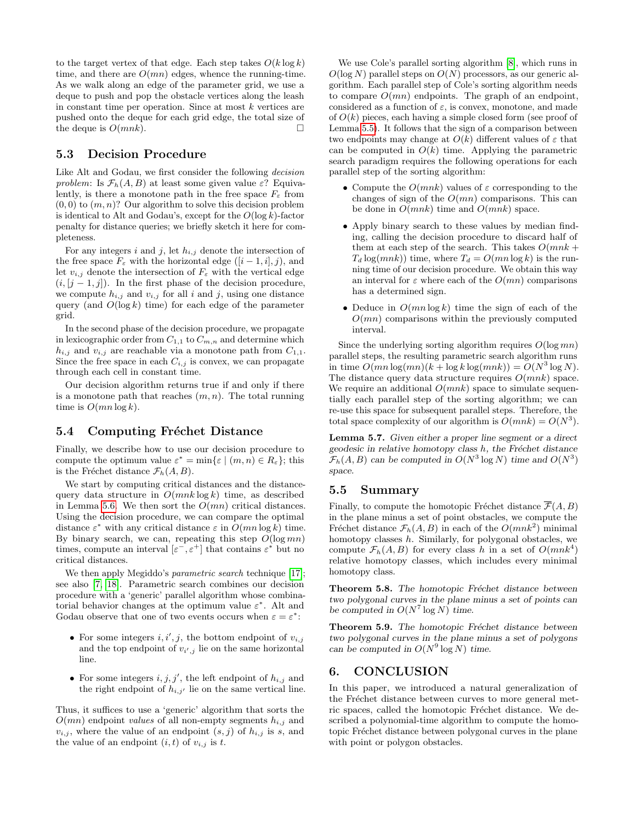to the target vertex of that edge. Each step takes  $O(k \log k)$ time, and there are  $O(mn)$  edges, whence the running-time. As we walk along an edge of the parameter grid, we use a deque to push and pop the obstacle vertices along the leash in constant time per operation. Since at most  $k$  vertices are pushed onto the deque for each grid edge, the total size of the deque is  $O(mnk)$ .

## 5.3 Decision Procedure

Like Alt and Godau, we first consider the following decision problem: Is  $\mathcal{F}_h(A, B)$  at least some given value  $\varepsilon$ ? Equivalently, is there a monotone path in the free space  $F_{\varepsilon}$  from  $(0, 0)$  to  $(m, n)$ ? Our algorithm to solve this decision problem is identical to Alt and Godau's, except for the  $O(\log k)$ -factor penalty for distance queries; we briefly sketch it here for completeness.

For any integers  $i$  and  $j$ , let  $h_{i,j}$  denote the intersection of the free space  $F_{\varepsilon}$  with the horizontal edge  $([i - 1, i], j)$ , and let  $v_{i,j}$  denote the intersection of  $F_{\varepsilon}$  with the vertical edge  $(i, [j-1, j])$ . In the first phase of the decision procedure, we compute  $h_{i,j}$  and  $v_{i,j}$  for all i and j, using one distance query (and  $O(\log k)$  time) for each edge of the parameter grid.

In the second phase of the decision procedure, we propagate in lexicographic order from  $C_{1,1}$  to  $C_{m,n}$  and determine which  $h_{i,j}$  and  $v_{i,j}$  are reachable via a monotone path from  $C_{1,1}$ . Since the free space in each  $C_{i,j}$  is convex, we can propagate through each cell in constant time.

Our decision algorithm returns true if and only if there is a monotone path that reaches  $(m, n)$ . The total running time is  $O(mn \log k)$ .

#### 5.4 Computing Fréchet Distance

Finally, we describe how to use our decision procedure to compute the optimum value  $\varepsilon^* = \min\{\varepsilon \mid (m, n) \in R_{\varepsilon}\}\;$ ; this is the Fréchet distance  $\mathcal{F}_h(A, B)$ .

We start by computing critical distances and the distancequery data structure in  $O(mnk \log k)$  time, as described in Lemma [5.6.](#page-6-1) We then sort the  $O(mn)$  critical distances. Using the decision procedure, we can compare the optimal distance  $\varepsilon^*$  with any critical distance  $\varepsilon$  in  $O(mn \log k)$  time. By binary search, we can, repeating this step  $O(\log mn)$ times, compute an interval  $[\varepsilon^{-}, \varepsilon^{+}]$  that contains  $\varepsilon^{*}$  but no critical distances.

We then apply Megiddo's *parametric search* technique [\[17\]](#page-8-15); see also [\[7,](#page-8-16) [18\]](#page-8-17). Parametric search combines our decision procedure with a 'generic' parallel algorithm whose combinatorial behavior changes at the optimum value  $\varepsilon^*$ . Alt and Godau observe that one of two events occurs when  $\varepsilon = \varepsilon^*$ :

- For some integers  $i, i', j$ , the bottom endpoint of  $v_{i,j}$ and the top endpoint of  $v_{i',j}$  lie on the same horizontal line.
- For some integers  $i, j, j'$ , the left endpoint of  $h_{i,j}$  and the right endpoint of  $h_{i,j'}$  lie on the same vertical line.

Thus, it suffices to use a 'generic' algorithm that sorts the  $O(mn)$  endpoint values of all non-empty segments  $h_{i,j}$  and  $v_{i,j}$ , where the value of an endpoint  $(s, j)$  of  $h_{i,j}$  is s, and the value of an endpoint  $(i, t)$  of  $v_{i,j}$  is t.

We use Cole's parallel sorting algorithm [\[8\]](#page-8-18), which runs in  $O(\log N)$  parallel steps on  $O(N)$  processors, as our generic algorithm. Each parallel step of Cole's sorting algorithm needs to compare  $O(mn)$  endpoints. The graph of an endpoint, considered as a function of  $\varepsilon$ , is convex, monotone, and made of  $O(k)$  pieces, each having a simple closed form (see proof of Lemma [5.5\)](#page-6-0). It follows that the sign of a comparison between two endpoints may change at  $O(k)$  different values of  $\varepsilon$  that can be computed in  $O(k)$  time. Applying the parametric search paradigm requires the following operations for each parallel step of the sorting algorithm:

- Compute the  $O(mnk)$  values of  $\varepsilon$  corresponding to the changes of sign of the  $O(mn)$  comparisons. This can be done in  $O(mnk)$  time and  $O(mnk)$  space.
- Apply binary search to these values by median finding, calling the decision procedure to discard half of them at each step of the search. This takes  $O(mnk +$  $T_d \log(mnk)$  time, where  $T_d = O(mn \log k)$  is the running time of our decision procedure. We obtain this way an interval for  $\varepsilon$  where each of the  $O(mn)$  comparisons has a determined sign.
- Deduce in  $O(mn \log k)$  time the sign of each of the  $O(mn)$  comparisons within the previously computed interval.

Since the underlying sorting algorithm requires  $O(\log mn)$ parallel steps, the resulting parametric search algorithm runs in time  $O(mn \log(mn)(k + \log k \log(mnk))) = O(N^3 \log N)$ . The distance query data structure requires  $O(mnk)$  space. We require an additional  $O(mnk)$  space to simulate sequentially each parallel step of the sorting algorithm; we can re-use this space for subsequent parallel steps. Therefore, the total space complexity of our algorithm is  $O(mnk) = O(N^3)$ .

Lemma 5.7. Given either a proper line segment or a direct geodesic in relative homotopy class  $h$ , the Fréchet distance  $\mathcal{F}_h(A, B)$  can be computed in  $O(N^3 \log N)$  time and  $O(N^3)$ space.

#### 5.5 Summary

Finally, to compute the homotopic Fréchet distance  $\overline{\mathcal{F}}(A, B)$ in the plane minus a set of point obstacles, we compute the Fréchet distance  $\mathcal{F}_h(A, B)$  in each of the  $O(mnk^2)$  minimal homotopy classes h. Similarly, for polygonal obstacles, we compute  $\mathcal{F}_h(A, B)$  for every class h in a set of  $O(mnk^4)$ relative homotopy classes, which includes every minimal homotopy class.

Theorem 5.8. The homotopic Fréchet distance between two polygonal curves in the plane minus a set of points can be computed in  $O(N^7 \log N)$  time.

Theorem 5.9. The homotopic Fréchet distance between two polygonal curves in the plane minus a set of polygons can be computed in  $O(N^9 \log N)$  time.

#### 6. CONCLUSION

In this paper, we introduced a natural generalization of the Fréchet distance between curves to more general metric spaces, called the homotopic Fréchet distance. We described a polynomial-time algorithm to compute the homotopic Fréchet distance between polygonal curves in the plane with point or polygon obstacles.